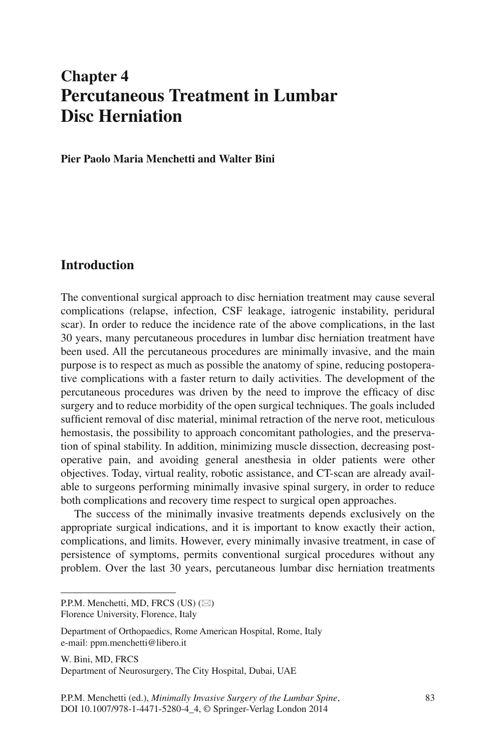# **Chapter 4 Percutaneous Treatment in Lumbar Disc Herniation**

 **Pier Paolo Maria Menchetti and Walter Bini** 

# **Introduction**

 The conventional surgical approach to disc herniation treatment may cause several complications (relapse, infection, CSF leakage, iatrogenic instability, peridural scar). In order to reduce the incidence rate of the above complications, in the last 30 years, many percutaneous procedures in lumbar disc herniation treatment have been used. All the percutaneous procedures are minimally invasive, and the main purpose is to respect as much as possible the anatomy of spine, reducing postoperative complications with a faster return to daily activities. The development of the percutaneous procedures was driven by the need to improve the efficacy of disc surgery and to reduce morbidity of the open surgical techniques. The goals included sufficient removal of disc material, minimal retraction of the nerve root, meticulous hemostasis, the possibility to approach concomitant pathologies, and the preservation of spinal stability. In addition, minimizing muscle dissection, decreasing postoperative pain, and avoiding general anesthesia in older patients were other objectives. Today, virtual reality, robotic assistance, and CT-scan are already available to surgeons performing minimally invasive spinal surgery, in order to reduce both complications and recovery time respect to surgical open approaches .

 The success of the minimally invasive treatments depends exclusively on the appropriate surgical indications, and it is important to know exactly their action, complications, and limits. However, every minimally invasive treatment, in case of persistence of symptoms, permits conventional surgical procedures without any problem. Over the last 30 years, percutaneous lumbar disc herniation treatments

W. Bini, MD, FRCS Department of Neurosurgery, The City Hospital, Dubai, UAE

P.P.M. Menchetti, MD, FRCS (US)  $(\boxtimes)$ 

Florence University, Florence, Italy

Department of Orthopaedics, Rome American Hospital, Rome, Italy e-mail: ppm.menchetti@libero.it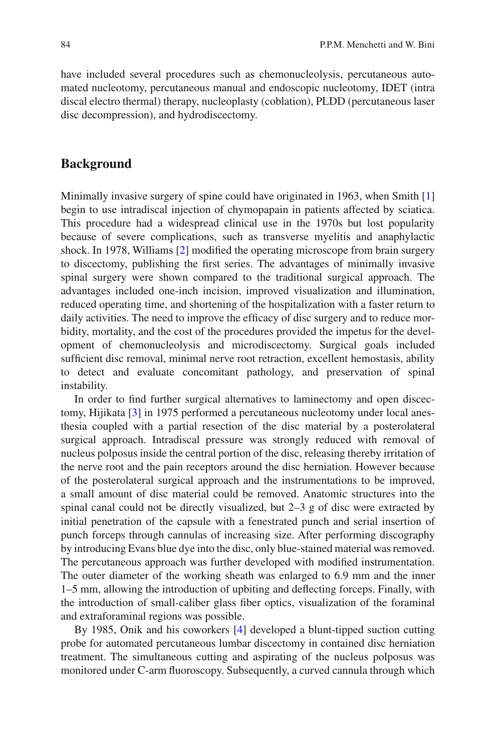have included several procedures such as chemonucleolysis, percutaneous automated nucleotomy, percutaneous manual and endoscopic nucleotomy, IDET (intra discal electro thermal) therapy, nucleoplasty (coblation), PLDD (percutaneous laser disc decompression), and hydrodiscectomy.

# **Background**

Minimally invasive surgery of spine could have originated in 1963, when Smith [1] begin to use intradiscal injection of chymopapain in patients affected by sciatica. This procedure had a widespread clinical use in the 1970s but lost popularity because of severe complications, such as transverse myelitis and anaphylactic shock. In 1978, Williams  $[2]$  modified the operating microscope from brain surgery to discectomy, publishing the first series. The advantages of minimally invasive spinal surgery were shown compared to the traditional surgical approach. The advantages included one-inch incision, improved visualization and illumination, reduced operating time, and shortening of the hospitalization with a faster return to daily activities. The need to improve the efficacy of disc surgery and to reduce morbidity, mortality, and the cost of the procedures provided the impetus for the development of chemonucleolysis and microdiscectomy. Surgical goals included sufficient disc removal, minimal nerve root retraction, excellent hemostasis, ability to detect and evaluate concomitant pathology, and preservation of spinal instability.

In order to find further surgical alternatives to laminectomy and open discectomy, Hijikata <a>[3]</a> in 1975 performed a percutaneous nucleotomy under local anesthesia coupled with a partial resection of the disc material by a posterolateral surgical approach. Intradiscal pressure was strongly reduced with removal of nucleus polposus inside the central portion of the disc, releasing thereby irritation of the nerve root and the pain receptors around the disc herniation. However because of the posterolateral surgical approach and the instrumentations to be improved, a small amount of disc material could be removed. Anatomic structures into the spinal canal could not be directly visualized, but  $2-3$  g of disc were extracted by initial penetration of the capsule with a fenestrated punch and serial insertion of punch forceps through cannulas of increasing size. After performing discography by introducing Evans blue dye into the disc, only blue-stained material was removed. The percutaneous approach was further developed with modified instrumentation. The outer diameter of the working sheath was enlarged to 6.9 mm and the inner 1–5 mm, allowing the introduction of upbiting and deflecting forceps. Finally, with the introduction of small-caliber glass fiber optics, visualization of the foraminal and extraforaminal regions was possible.

By 1985, Onik and his coworkers [4] developed a blunt-tipped suction cutting probe for automated percutaneous lumbar discectomy in contained disc herniation treatment. The simultaneous cutting and aspirating of the nucleus polposus was monitored under C-arm fluoroscopy. Subsequently, a curved cannula through which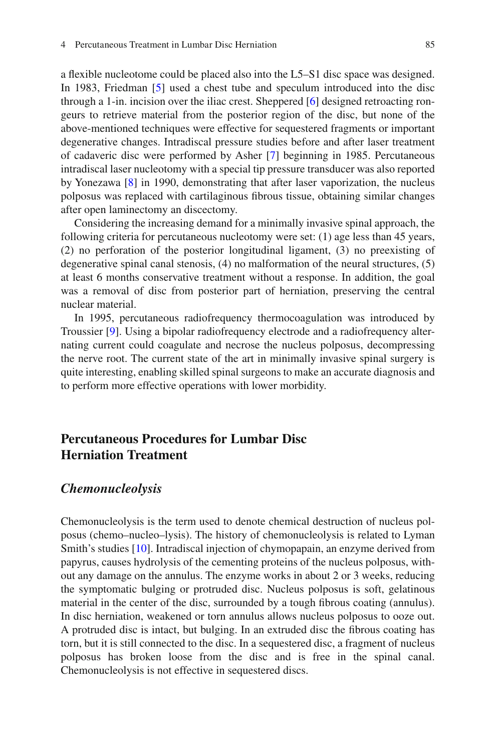a flexible nucleotome could be placed also into the L5–S1 disc space was designed. In 1983, Friedman [5] used a chest tube and speculum introduced into the disc through a 1-in. incision over the iliac crest. Sheppered  $[6]$  designed retroacting rongeurs to retrieve material from the posterior region of the disc, but none of the above-mentioned techniques were effective for sequestered fragments or important degenerative changes. Intradiscal pressure studies before and after laser treatment of cadaveric disc were performed by Asher [7] beginning in 1985. Percutaneous intradiscal laser nucleotomy with a special tip pressure transducer was also reported by Yonezawa  $[8]$  in 1990, demonstrating that after laser vaporization, the nucleus polposus was replaced with cartilaginous fi brous tissue, obtaining similar changes after open laminectomy an discectomy.

 Considering the increasing demand for a minimally invasive spinal approach, the following criteria for percutaneous nucleotomy were set: (1) age less than 45 years, (2) no perforation of the posterior longitudinal ligament, (3) no preexisting of degenerative spinal canal stenosis, (4) no malformation of the neural structures, (5) at least 6 months conservative treatment without a response. In addition, the goal was a removal of disc from posterior part of herniation, preserving the central nuclear material.

 In 1995, percutaneous radiofrequency thermocoagulation was introduced by Troussier [9]. Using a bipolar radiofrequency electrode and a radiofrequency alternating current could coagulate and necrose the nucleus polposus, decompressing the nerve root. The current state of the art in minimally invasive spinal surgery is quite interesting, enabling skilled spinal surgeons to make an accurate diagnosis and to perform more effective operations with lower morbidity.

# **Percutaneous Procedures for Lumbar Disc Herniation Treatment**

### *Chemonucleolysis*

 Chemonucleolysis is the term used to denote chemical destruction of nucleus polposus (chemo–nucleo–lysis). The history of chemonucleolysis is related to Lyman Smith's studies [10]. Intradiscal injection of chymopapain, an enzyme derived from papyrus, causes hydrolysis of the cementing proteins of the nucleus polposus, without any damage on the annulus. The enzyme works in about 2 or 3 weeks, reducing the symptomatic bulging or protruded disc. Nucleus polposus is soft, gelatinous material in the center of the disc, surrounded by a tough fibrous coating (annulus). In disc herniation, weakened or torn annulus allows nucleus polposus to ooze out. A protruded disc is intact, but bulging. In an extruded disc the fibrous coating has torn, but it is still connected to the disc. In a sequestered disc, a fragment of nucleus polposus has broken loose from the disc and is free in the spinal canal. Chemonucleolysis is not effective in sequestered discs.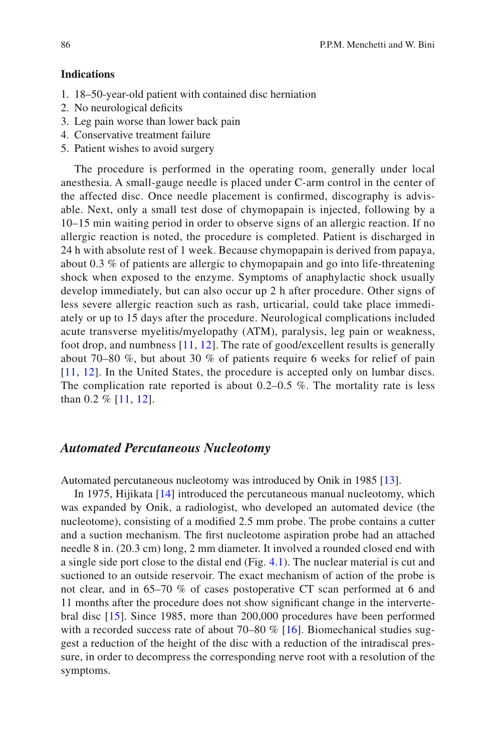#### **Indications**

- 1. 18–50-year-old patient with contained disc herniation
- 2. No neurological deficits
- 3. Leg pain worse than lower back pain
- 4. Conservative treatment failure
- 5. Patient wishes to avoid surgery

 The procedure is performed in the operating room, generally under local anesthesia. A small-gauge needle is placed under C-arm control in the center of the affected disc. Once needle placement is confirmed, discography is advisable. Next, only a small test dose of chymopapain is injected, following by a 10–15 min waiting period in order to observe signs of an allergic reaction. If no allergic reaction is noted, the procedure is completed. Patient is discharged in 24 h with absolute rest of 1 week. Because chymopapain is derived from papaya, about 0.3 % of patients are allergic to chymopapain and go into life-threatening shock when exposed to the enzyme. Symptoms of anaphylactic shock usually develop immediately, but can also occur up 2 h after procedure. Other signs of less severe allergic reaction such as rash, urticarial, could take place immediately or up to 15 days after the procedure. Neurological complications included acute transverse myelitis/myelopathy (ATM), paralysis, leg pain or weakness, foot drop, and numbness  $[11, 12]$ . The rate of good/excellent results is generally about 70–80 %, but about 30 % of patients require 6 weeks for relief of pain [11, 12]. In the United States, the procedure is accepted only on lumbar discs. The complication rate reported is about  $0.2-0.5$  %. The mortality rate is less than  $0.2 \%$  [11, [12](#page-21-0)].

### *Automated Percutaneous Nucleotomy*

Automated percutaneous nucleotomy was introduced by Onik in 1985 [13].

In 1975, Hijikata [14] introduced the percutaneous manual nucleotomy, which was expanded by Onik, a radiologist, who developed an automated device (the nucleotome), consisting of a modified 2.5 mm probe. The probe contains a cutter and a suction mechanism. The first nucleotome aspiration probe had an attached needle 8 in. (20.3 cm) long, 2 mm diameter. It involved a rounded closed end with a single side port close to the distal end (Fig. [4.1](#page-4-0) ). The nuclear material is cut and suctioned to an outside reservoir. The exact mechanism of action of the probe is not clear, and in 65–70 % of cases postoperative CT scan performed at 6 and 11 months after the procedure does not show significant change in the intervertebral disc [15]. Since 1985, more than 200,000 procedures have been performed with a recorded success rate of about 70–80  $\%$  [16]. Biomechanical studies suggest a reduction of the height of the disc with a reduction of the intradiscal pressure, in order to decompress the corresponding nerve root with a resolution of the symptoms.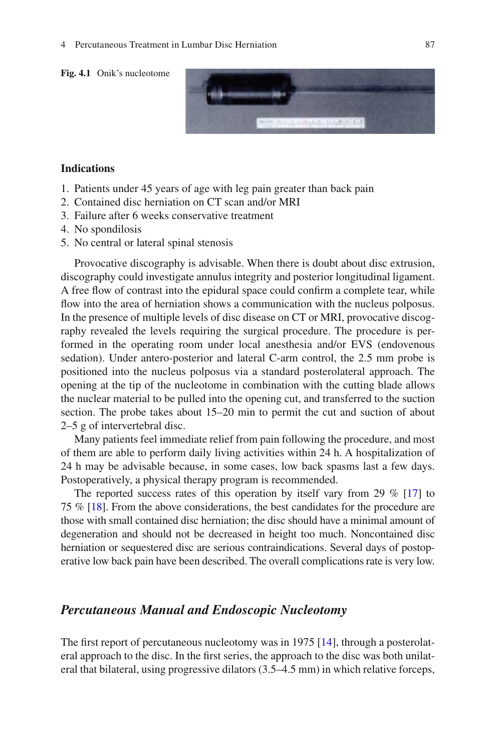<span id="page-4-0"></span>

#### **Indications**

- 1. Patients under 45 years of age with leg pain greater than back pain
- 2. Contained disc herniation on CT scan and/or MRI
- 3. Failure after 6 weeks conservative treatment
- 4. No spondilosis
- 5. No central or lateral spinal stenosis

 Provocative discography is advisable. When there is doubt about disc extrusion, discography could investigate annulus integrity and posterior longitudinal ligament. A free flow of contrast into the epidural space could confirm a complete tear, while flow into the area of herniation shows a communication with the nucleus polposus. In the presence of multiple levels of disc disease on CT or MRI, provocative discography revealed the levels requiring the surgical procedure. The procedure is performed in the operating room under local anesthesia and/or EVS (endovenous sedation). Under antero-posterior and lateral C-arm control, the 2.5 mm probe is positioned into the nucleus polposus via a standard posterolateral approach. The opening at the tip of the nucleotome in combination with the cutting blade allows the nuclear material to be pulled into the opening cut, and transferred to the suction section. The probe takes about 15–20 min to permit the cut and suction of about 2–5 g of intervertebral disc.

 Many patients feel immediate relief from pain following the procedure, and most of them are able to perform daily living activities within 24 h. A hospitalization of 24 h may be advisable because, in some cases, low back spasms last a few days. Postoperatively, a physical therapy program is recommended.

The reported success rates of this operation by itself vary from 29  $%$  [17] to 75 % [ 18 ]. From the above considerations, the best candidates for the procedure are those with small contained disc herniation; the disc should have a minimal amount of degeneration and should not be decreased in height too much. Noncontained disc herniation or sequestered disc are serious contraindications. Several days of postoperative low back pain have been described. The overall complications rate is very low.

### *Percutaneous Manual and Endoscopic Nucleotomy*

The first report of percutaneous nucleotomy was in  $1975$  [14], through a posterolateral approach to the disc. In the first series, the approach to the disc was both unilateral that bilateral, using progressive dilators (3.5–4.5 mm) in which relative forceps,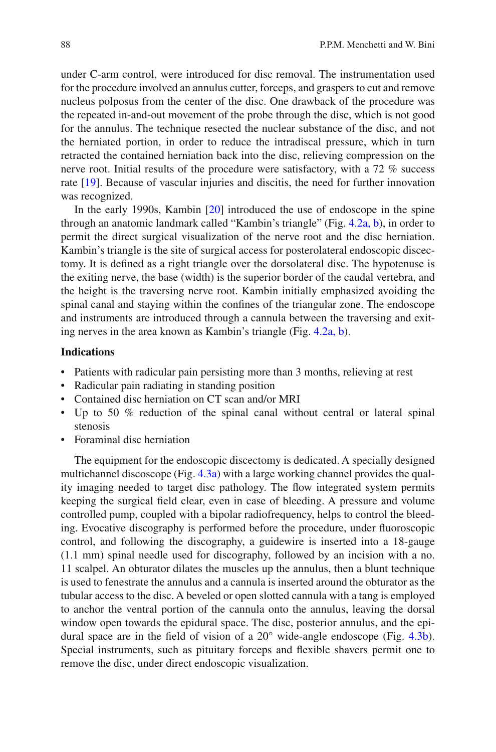under C-arm control, were introduced for disc removal. The instrumentation used for the procedure involved an annulus cutter, forceps, and graspers to cut and remove nucleus polposus from the center of the disc. One drawback of the procedure was the repeated in-and-out movement of the probe through the disc, which is not good for the annulus. The technique resected the nuclear substance of the disc, and not the herniated portion, in order to reduce the intradiscal pressure, which in turn retracted the contained herniation back into the disc, relieving compression on the nerve root. Initial results of the procedure were satisfactory, with a 72 % success rate [19]. Because of vascular injuries and discitis, the need for further innovation was recognized.

In the early 1990s, Kambin  $[20]$  introduced the use of endoscope in the spine through an anatomic landmark called "Kambin's triangle" (Fig.  $4.2a$ , b), in order to permit the direct surgical visualization of the nerve root and the disc herniation. Kambin's triangle is the site of surgical access for posterolateral endoscopic discectomy. It is defined as a right triangle over the dorsolateral disc. The hypotenuse is the exiting nerve, the base (width) is the superior border of the caudal vertebra, and the height is the traversing nerve root. Kambin initially emphasized avoiding the spinal canal and staying within the confines of the triangular zone. The endoscope and instruments are introduced through a cannula between the traversing and exit-ing nerves in the area known as Kambin's triangle (Fig. [4.2a, b](#page-6-0)).

#### **Indications**

- Patients with radicular pain persisting more than 3 months, relieving at rest
- Radicular pain radiating in standing position
- Contained disc herniation on CT scan and/or MRI
- Up to 50 % reduction of the spinal canal without central or lateral spinal stenosis
- Foraminal disc herniation

 The equipment for the endoscopic discectomy is dedicated. A specially designed multichannel discoscope (Fig.  $4.3a$ ) with a large working channel provides the quality imaging needed to target disc pathology. The flow integrated system permits keeping the surgical field clear, even in case of bleeding. A pressure and volume controlled pump, coupled with a bipolar radiofrequency, helps to control the bleeding. Evocative discography is performed before the procedure, under fluoroscopic control, and following the discography, a guidewire is inserted into a 18-gauge (1.1 mm) spinal needle used for discography, followed by an incision with a no. 11 scalpel. An obturator dilates the muscles up the annulus, then a blunt technique is used to fenestrate the annulus and a cannula is inserted around the obturator as the tubular access to the disc. A beveled or open slotted cannula with a tang is employed to anchor the ventral portion of the cannula onto the annulus, leaving the dorsal window open towards the epidural space. The disc, posterior annulus, and the epidural space are in the field of vision of a  $20^{\circ}$  wide-angle endoscope (Fig. 4.3b). Special instruments, such as pituitary forceps and flexible shavers permit one to remove the disc, under direct endoscopic visualization.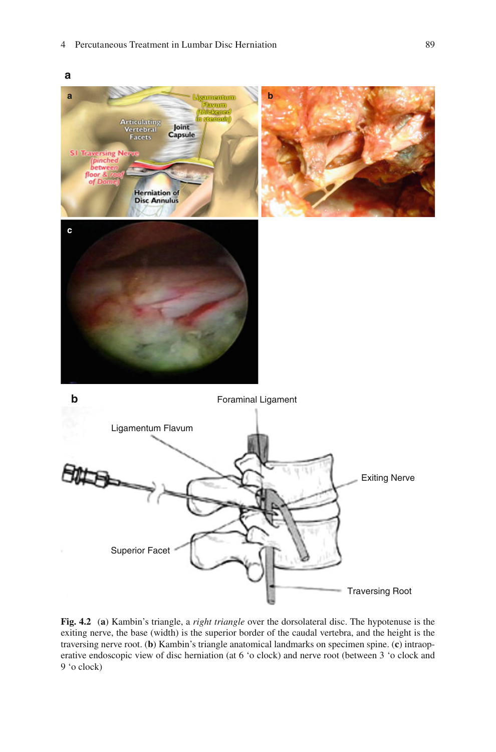<span id="page-6-0"></span>

 **Fig. 4.2** ( **a** ) Kambin's triangle, a *right triangle* over the dorsolateral disc. The hypotenuse is the exiting nerve, the base (width) is the superior border of the caudal vertebra, and the height is the traversing nerve root. ( **b** ) Kambin's triangle anatomical landmarks on specimen spine. ( **c** ) intraoperative endoscopic view of disc herniation (at 6 'o clock) and nerve root (between 3 'o clock and 9 'o clock)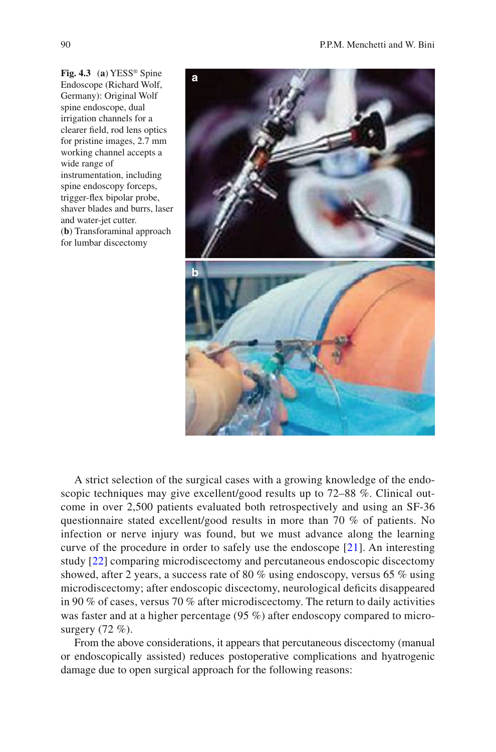<span id="page-7-0"></span>**Fig. 4.3** (a) YESS<sup>®</sup> Spine Endoscope (Richard Wolf, Germany): Original Wolf spine endoscope, dual irrigation channels for a clearer field, rod lens optics for pristine images, 2.7 mm working channel accepts a wide range of instrumentation, including spine endoscopy forceps, trigger-flex bipolar probe, shaver blades and burrs, laser and water-jet cutter. ( **b** ) Transforaminal approach for lumbar discectomy



 A strict selection of the surgical cases with a growing knowledge of the endoscopic techniques may give excellent/good results up to 72–88 %. Clinical outcome in over 2,500 patients evaluated both retrospectively and using an SF-36 questionnaire stated excellent/good results in more than 70 % of patients. No infection or nerve injury was found, but we must advance along the learning curve of the procedure in order to safely use the endoscope  $[21]$ . An interesting study [22] comparing microdiscectomy and percutaneous endoscopic discectomy showed, after 2 years, a success rate of 80 % using endoscopy, versus 65 % using microdiscectomy; after endoscopic discectomy, neurological deficits disappeared in 90 % of cases, versus 70 % after microdiscectomy. The return to daily activities was faster and at a higher percentage (95 %) after endoscopy compared to microsurgery (72 %).

 From the above considerations, it appears that percutaneous discectomy (manual or endoscopically assisted) reduces postoperative complications and hyatrogenic damage due to open surgical approach for the following reasons: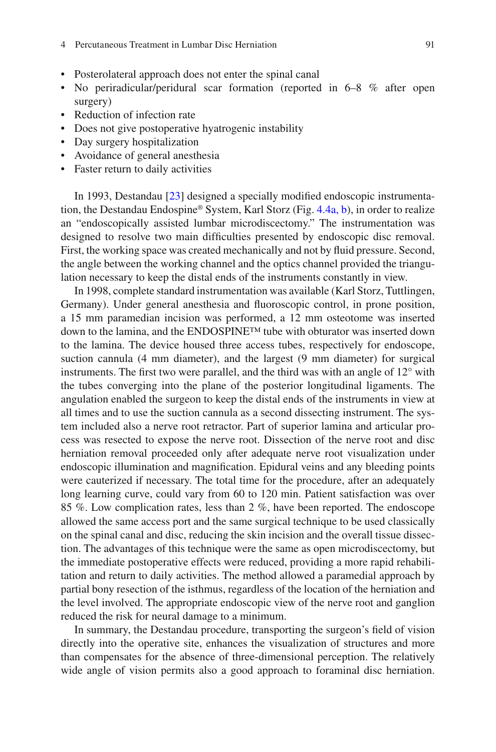#### 4 Percutaneous Treatment in Lumbar Disc Herniation

- Posterolateral approach does not enter the spinal canal
- No periradicular/peridural scar formation (reported in 6–8 % after open surgery)
- Reduction of infection rate
- Does not give postoperative hyatrogenic instability
- Day surgery hospitalization
- Avoidance of general anesthesia
- Faster return to daily activities

In 1993, Destandau [23] designed a specially modified endoscopic instrumentation, the Destandau Endospine® System, Karl Storz (Fig.  $4.4a$ , b), in order to realize an "endoscopically assisted lumbar microdiscectomy." The instrumentation was designed to resolve two main difficulties presented by endoscopic disc removal. First, the working space was created mechanically and not by fluid pressure. Second, the angle between the working channel and the optics channel provided the triangulation necessary to keep the distal ends of the instruments constantly in view.

 In 1998, complete standard instrumentation was available (Karl Storz, Tuttlingen, Germany). Under general anesthesia and fluoroscopic control, in prone position, a 15 mm paramedian incision was performed, a 12 mm osteotome was inserted down to the lamina, and the ENDOSPINE™ tube with obturator was inserted down to the lamina. The device housed three access tubes, respectively for endoscope, suction cannula (4 mm diameter), and the largest (9 mm diameter) for surgical instruments. The first two were parallel, and the third was with an angle of  $12^{\circ}$  with the tubes converging into the plane of the posterior longitudinal ligaments. The angulation enabled the surgeon to keep the distal ends of the instruments in view at all times and to use the suction cannula as a second dissecting instrument. The system included also a nerve root retractor. Part of superior lamina and articular process was resected to expose the nerve root. Dissection of the nerve root and disc herniation removal proceeded only after adequate nerve root visualization under endoscopic illumination and magnification. Epidural veins and any bleeding points were cauterized if necessary. The total time for the procedure, after an adequately long learning curve, could vary from 60 to 120 min. Patient satisfaction was over 85 %. Low complication rates, less than 2 %, have been reported. The endoscope allowed the same access port and the same surgical technique to be used classically on the spinal canal and disc, reducing the skin incision and the overall tissue dissection. The advantages of this technique were the same as open microdiscectomy, but the immediate postoperative effects were reduced, providing a more rapid rehabilitation and return to daily activities. The method allowed a paramedial approach by partial bony resection of the isthmus, regardless of the location of the herniation and the level involved. The appropriate endoscopic view of the nerve root and ganglion reduced the risk for neural damage to a minimum.

In summary, the Destandau procedure, transporting the surgeon's field of vision directly into the operative site, enhances the visualization of structures and more than compensates for the absence of three-dimensional perception. The relatively wide angle of vision permits also a good approach to foraminal disc herniation.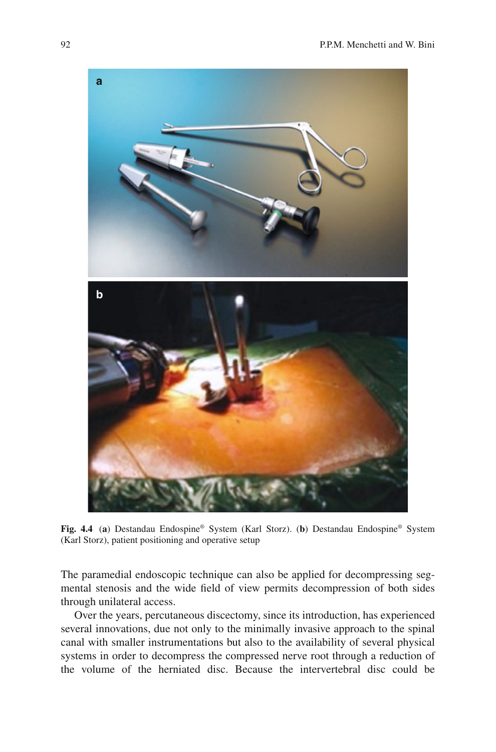<span id="page-9-0"></span>

 **Fig. 4.4** ( **a** ) Destandau Endospine® System (Karl Storz). ( **b** ) Destandau Endospine® System (Karl Storz), patient positioning and operative setup

The paramedial endoscopic technique can also be applied for decompressing segmental stenosis and the wide field of view permits decompression of both sides through unilateral access.

 Over the years, percutaneous discectomy, since its introduction, has experienced several innovations, due not only to the minimally invasive approach to the spinal canal with smaller instrumentations but also to the availability of several physical systems in order to decompress the compressed nerve root through a reduction of the volume of the herniated disc. Because the intervertebral disc could be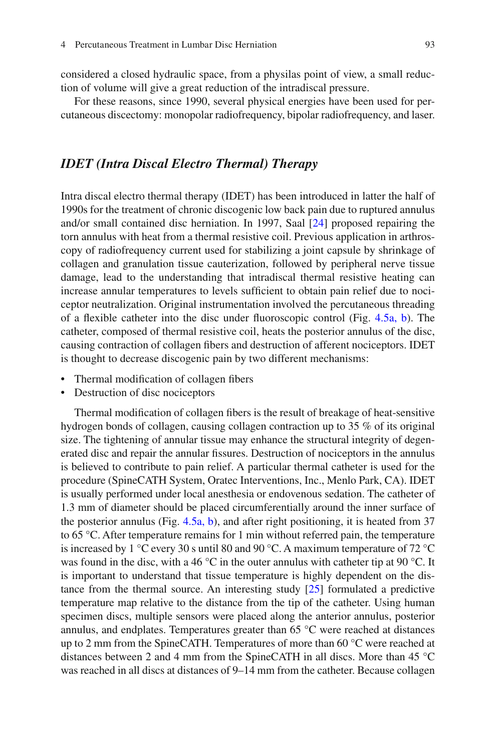considered a closed hydraulic space, from a physilas point of view, a small reduction of volume will give a great reduction of the intradiscal pressure.

 For these reasons, since 1990, several physical energies have been used for percutaneous discectomy: monopolar radiofrequency, bipolar radiofrequency, and laser.

# *IDET (Intra Discal Electro Thermal) Therapy*

 Intra discal electro thermal therapy (IDET) has been introduced in latter the half of 1990s for the treatment of chronic discogenic low back pain due to ruptured annulus and/or small contained disc herniation. In 1997, Saal  $[24]$  proposed repairing the torn annulus with heat from a thermal resistive coil. Previous application in arthroscopy of radiofrequency current used for stabilizing a joint capsule by shrinkage of collagen and granulation tissue cauterization, followed by peripheral nerve tissue damage, lead to the understanding that intradiscal thermal resistive heating can increase annular temperatures to levels sufficient to obtain pain relief due to noci-ceptor neutralization. Original instrumentation involved the percutaneous threading of a fl exible catheter into the disc under fluoroscopic control (Fig.  $4.5a$ , b). The catheter, composed of thermal resistive coil, heats the posterior annulus of the disc, causing contraction of collagen fibers and destruction of afferent nociceptors. IDET is thought to decrease discogenic pain by two different mechanisms:

- Thermal modification of collagen fibers
- Destruction of disc nociceptors

Thermal modification of collagen fibers is the result of breakage of heat-sensitive hydrogen bonds of collagen, causing collagen contraction up to 35 % of its original size. The tightening of annular tissue may enhance the structural integrity of degenerated disc and repair the annular fissures. Destruction of nociceptors in the annulus is believed to contribute to pain relief. A particular thermal catheter is used for the procedure (SpineCATH System, Oratec Interventions, Inc., Menlo Park, CA). IDET is usually performed under local anesthesia or endovenous sedation. The catheter of 1.3 mm of diameter should be placed circumferentially around the inner surface of the posterior annulus (Fig.  $4.5a$ , b), and after right positioning, it is heated from 37 to 65 °C. After temperature remains for 1 min without referred pain, the temperature is increased by 1 °C every 30 s until 80 and 90 °C. A maximum temperature of 72 °C was found in the disc, with a 46  $\degree$ C in the outer annulus with catheter tip at 90  $\degree$ C. It is important to understand that tissue temperature is highly dependent on the distance from the thermal source. An interesting study  $[25]$  formulated a predictive temperature map relative to the distance from the tip of the catheter. Using human specimen discs, multiple sensors were placed along the anterior annulus, posterior annulus, and endplates. Temperatures greater than 65 °C were reached at distances up to 2 mm from the SpineCATH. Temperatures of more than 60 °C were reached at distances between 2 and 4 mm from the SpineCATH in all discs. More than 45 °C was reached in all discs at distances of 9–14 mm from the catheter. Because collagen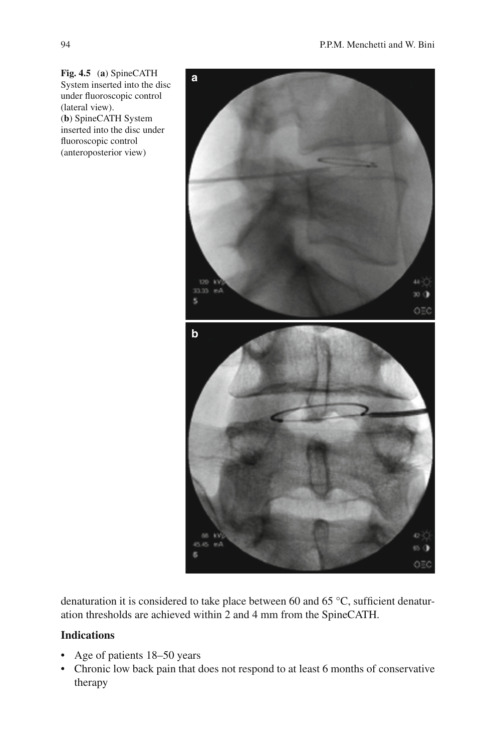<span id="page-11-0"></span> **Fig. 4.5** ( **a** ) SpineCATH System inserted into the disc under fluoroscopic control (lateral view). (**b**) SpineCATH System inserted into the disc under fluoroscopic control (anteroposterior view)



denaturation it is considered to take place between 60 and 65  $\degree$ C, sufficient denaturation thresholds are achieved within 2 and 4 mm from the SpineCATH.

# **Indications**

- Age of patients 18–50 years
- Chronic low back pain that does not respond to at least 6 months of conservative therapy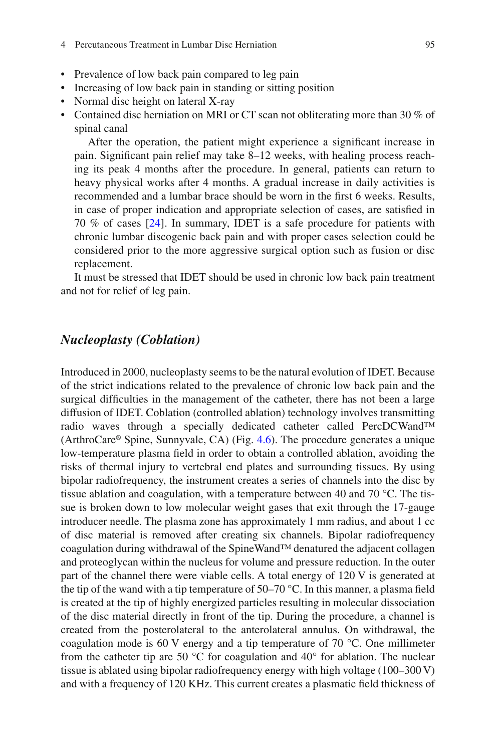#### 4 Percutaneous Treatment in Lumbar Disc Herniation

- Prevalence of low back pain compared to leg pain
- Increasing of low back pain in standing or sitting position
- Normal disc height on lateral X-ray
- Contained disc herniation on MRI or CT scan not obliterating more than 30 % of spinal canal

After the operation, the patient might experience a significant increase in pain. Significant pain relief may take 8–12 weeks, with healing process reaching its peak 4 months after the procedure. In general, patients can return to heavy physical works after 4 months. A gradual increase in daily activities is recommended and a lumbar brace should be worn in the first 6 weeks. Results, in case of proper indication and appropriate selection of cases, are satisfied in 70 % of cases [\[ 24](#page-21-0) ]. In summary, IDET is a safe procedure for patients with chronic lumbar discogenic back pain and with proper cases selection could be considered prior to the more aggressive surgical option such as fusion or disc replacement.

 It must be stressed that IDET should be used in chronic low back pain treatment and not for relief of leg pain.

### *Nucleoplasty (Coblation)*

 Introduced in 2000, nucleoplasty seems to be the natural evolution of IDET. Because of the strict indications related to the prevalence of chronic low back pain and the surgical difficulties in the management of the catheter, there has not been a large diffusion of IDET. Coblation (controlled ablation) technology involves transmitting radio waves through a specially dedicated catheter called PercDCWand™ (ArthroCare® Spine, Sunnyvale, CA) (Fig. [4.6](#page-13-0) ). The procedure generates a unique low-temperature plasma field in order to obtain a controlled ablation, avoiding the risks of thermal injury to vertebral end plates and surrounding tissues. By using bipolar radiofrequency, the instrument creates a series of channels into the disc by tissue ablation and coagulation, with a temperature between 40 and 70 °C. The tissue is broken down to low molecular weight gases that exit through the 17-gauge introducer needle. The plasma zone has approximately 1 mm radius, and about 1 cc of disc material is removed after creating six channels. Bipolar radiofrequency coagulation during withdrawal of the SpineWand™ denatured the adjacent collagen and proteoglycan within the nucleus for volume and pressure reduction. In the outer part of the channel there were viable cells. A total energy of 120 V is generated at the tip of the wand with a tip temperature of  $50-70$  °C. In this manner, a plasma field is created at the tip of highly energized particles resulting in molecular dissociation of the disc material directly in front of the tip. During the procedure, a channel is created from the posterolateral to the anterolateral annulus. On withdrawal, the coagulation mode is 60 V energy and a tip temperature of 70  $^{\circ}$ C. One millimeter from the catheter tip are 50 °C for coagulation and 40° for ablation. The nuclear tissue is ablated using bipolar radiofrequency energy with high voltage (100–300 V) and with a frequency of 120 KHz. This current creates a plasmatic field thickness of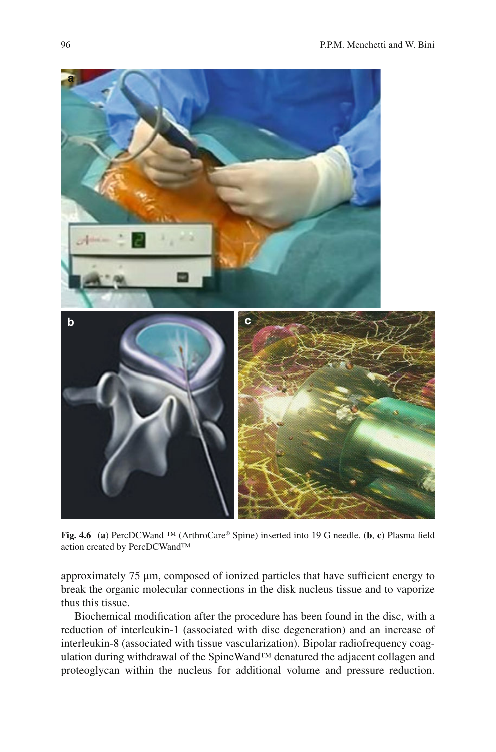<span id="page-13-0"></span>

**Fig. 4.6** (a) PercDCWand ™ (ArthroCare® Spine) inserted into 19 G needle. (b, c) Plasma field action created by PercDCWand™

approximately  $75 \mu m$ , composed of ionized particles that have sufficient energy to break the organic molecular connections in the disk nucleus tissue and to vaporize thus this tissue.

Biochemical modification after the procedure has been found in the disc, with a reduction of interleukin-1 (associated with disc degeneration) and an increase of interleukin-8 (associated with tissue vascularization). Bipolar radiofrequency coagulation during withdrawal of the SpineWand™ denatured the adjacent collagen and proteoglycan within the nucleus for additional volume and pressure reduction.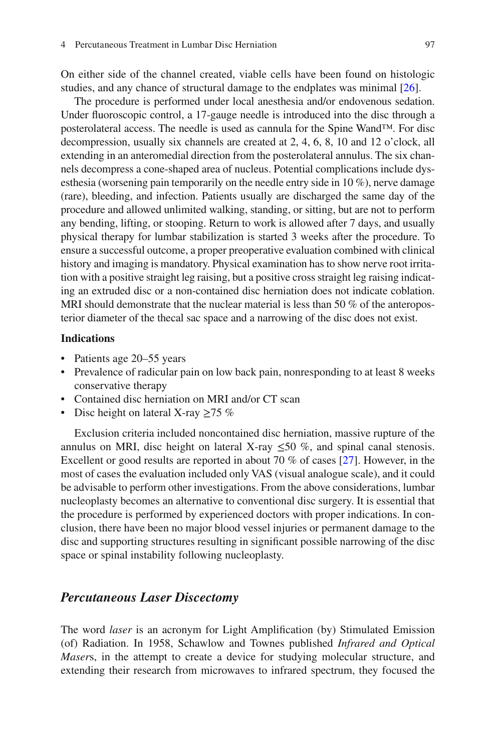On either side of the channel created, viable cells have been found on histologic studies, and any chance of structural damage to the endplates was minimal  $[26]$ .

 The procedure is performed under local anesthesia and/or endovenous sedation. Under fluoroscopic control, a 17-gauge needle is introduced into the disc through a posterolateral access. The needle is used as cannula for the Spine Wand™. For disc decompression, usually six channels are created at 2, 4, 6, 8, 10 and 12 o'clock, all extending in an anteromedial direction from the posterolateral annulus. The six channels decompress a cone-shaped area of nucleus. Potential complications include dysesthesia (worsening pain temporarily on the needle entry side in 10 %), nerve damage (rare), bleeding, and infection. Patients usually are discharged the same day of the procedure and allowed unlimited walking, standing, or sitting, but are not to perform any bending, lifting, or stooping. Return to work is allowed after 7 days, and usually physical therapy for lumbar stabilization is started 3 weeks after the procedure. To ensure a successful outcome, a proper preoperative evaluation combined with clinical history and imaging is mandatory. Physical examination has to show nerve root irritation with a positive straight leg raising, but a positive cross straight leg raising indicating an extruded disc or a non-contained disc herniation does not indicate coblation. MRI should demonstrate that the nuclear material is less than 50 % of the anteroposterior diameter of the thecal sac space and a narrowing of the disc does not exist.

#### **Indications**

- Patients age 20–55 years
- Prevalence of radicular pain on low back pain, nonresponding to at least 8 weeks conservative therapy
- Contained disc herniation on MRI and/or CT scan
- Disc height on lateral X-ray >75 %

 Exclusion criteria included noncontained disc herniation, massive rupture of the annulus on MRI, disc height on lateral X-ray  $\leq 50$  %, and spinal canal stenosis. Excellent or good results are reported in about 70  $\%$  of cases [27]. However, in the most of cases the evaluation included only VAS (visual analogue scale), and it could be advisable to perform other investigations. From the above considerations, lumbar nucleoplasty becomes an alternative to conventional disc surgery. It is essential that the procedure is performed by experienced doctors with proper indications. In conclusion, there have been no major blood vessel injuries or permanent damage to the disc and supporting structures resulting in significant possible narrowing of the disc space or spinal instability following nucleoplasty.

### *Percutaneous Laser Discectomy*

The word *laser* is an acronym for Light Amplification (by) Stimulated Emission (of) Radiation. In 1958, Schawlow and Townes published *Infrared and Optical Masers*, in the attempt to create a device for studying molecular structure, and extending their research from microwaves to infrared spectrum, they focused the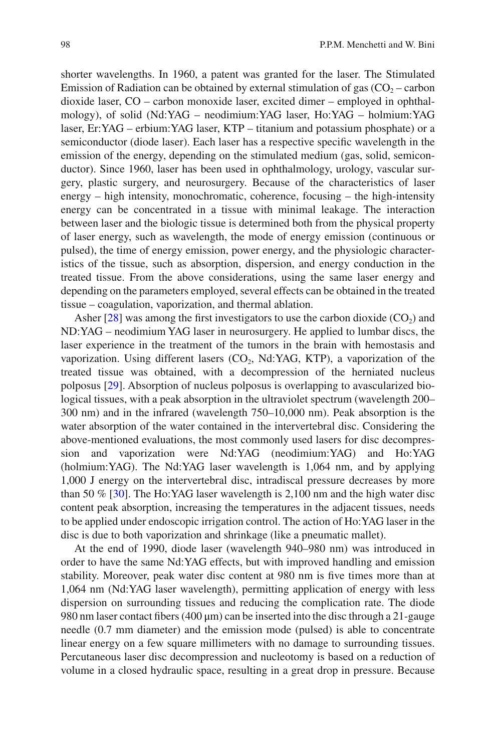shorter wavelengths. In 1960, a patent was granted for the laser. The Stimulated Emission of Radiation can be obtained by external stimulation of gas  $(CO<sub>2</sub> -$  carbon dioxide laser, CO – carbon monoxide laser, excited dimer – employed in ophthalmology), of solid (Nd:YAG – neodimium:YAG laser, Ho:YAG – holmium:YAG laser, Er:YAG – erbium:YAG laser, KTP – titanium and potassium phosphate) or a semiconductor (diode laser). Each laser has a respective specific wavelength in the emission of the energy, depending on the stimulated medium (gas, solid, semiconductor). Since 1960, laser has been used in ophthalmology, urology, vascular surgery, plastic surgery, and neurosurgery. Because of the characteristics of laser energy – high intensity, monochromatic, coherence, focusing – the high-intensity energy can be concentrated in a tissue with minimal leakage. The interaction between laser and the biologic tissue is determined both from the physical property of laser energy, such as wavelength, the mode of energy emission (continuous or pulsed), the time of energy emission, power energy, and the physiologic characteristics of the tissue, such as absorption, dispersion, and energy conduction in the treated tissue. From the above considerations, using the same laser energy and depending on the parameters employed, several effects can be obtained in the treated tissue – coagulation, vaporization, and thermal ablation.

Asher  $[28]$  was among the first investigators to use the carbon dioxide  $(CO<sub>2</sub>)$  and ND:YAG – neodimium YAG laser in neurosurgery. He applied to lumbar discs, the laser experience in the treatment of the tumors in the brain with hemostasis and vaporization. Using different lasers  $(CO_2, Nd: YAG, KTP)$ , a vaporization of the treated tissue was obtained, with a decompression of the herniated nucleus polposus [ 29 ]. Absorption of nucleus polposus is overlapping to avascularized biological tissues, with a peak absorption in the ultraviolet spectrum (wavelength 200– 300 nm) and in the infrared (wavelength 750–10,000 nm). Peak absorption is the water absorption of the water contained in the intervertebral disc. Considering the above- mentioned evaluations, the most commonly used lasers for disc decompression and vaporization were Nd:YAG (neodimium:YAG) and Ho:YAG (holmium:YAG). The Nd:YAG laser wavelength is 1,064 nm, and by applying 1,000 J energy on the intervertebral disc, intradiscal pressure decreases by more than 50  $\%$  [30]. The Ho:YAG laser wavelength is 2,100 nm and the high water disc content peak absorption, increasing the temperatures in the adjacent tissues, needs to be applied under endoscopic irrigation control. The action of Ho:YAG laser in the disc is due to both vaporization and shrinkage (like a pneumatic mallet).

 At the end of 1990, diode laser (wavelength 940–980 nm) was introduced in order to have the same Nd:YAG effects, but with improved handling and emission stability. Moreover, peak water disc content at 980 nm is five times more than at 1,064 nm (Nd:YAG laser wavelength), permitting application of energy with less dispersion on surrounding tissues and reducing the complication rate. The diode 980 nm laser contact fibers (400  $\mu$ m) can be inserted into the disc through a 21-gauge needle (0.7 mm diameter) and the emission mode (pulsed) is able to concentrate linear energy on a few square millimeters with no damage to surrounding tissues. Percutaneous laser disc decompression and nucleotomy is based on a reduction of volume in a closed hydraulic space, resulting in a great drop in pressure. Because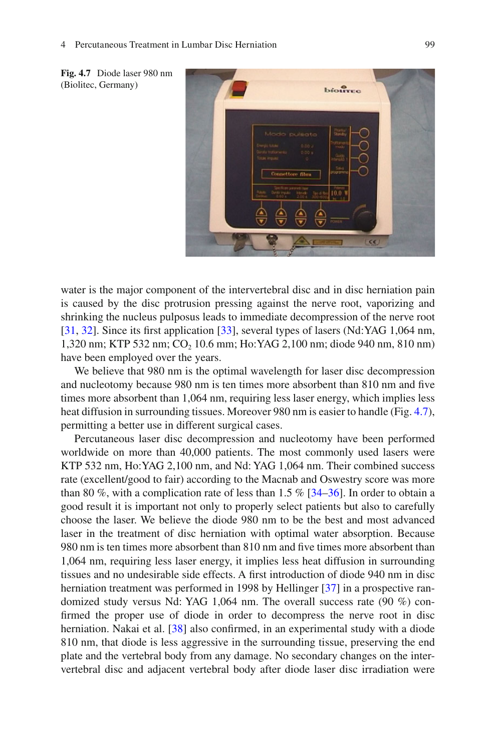

 **Fig. 4.7** Diode laser 980 nm (Biolitec, Germany)

water is the major component of the intervertebral disc and in disc herniation pain is caused by the disc protrusion pressing against the nerve root, vaporizing and shrinking the nucleus pulposus leads to immediate decompression of the nerve root [ 31, 32]. Since its first application [ 33], several types of lasers (Nd:YAG 1,064 nm, 1,320 nm; KTP 532 nm; CO<sub>2</sub> 10.6 mm; Ho:YAG 2,100 nm; diode 940 nm, 810 nm) have been employed over the years.

 We believe that 980 nm is the optimal wavelength for laser disc decompression and nucleotomy because 980 nm is ten times more absorbent than 810 nm and five times more absorbent than 1,064 nm, requiring less laser energy, which implies less heat diffusion in surrounding tissues. Moreover 980 nm is easier to handle (Fig. 4.7), permitting a better use in different surgical cases.

 Percutaneous laser disc decompression and nucleotomy have been performed worldwide on more than 40,000 patients. The most commonly used lasers were KTP 532 nm, Ho:YAG 2,100 nm, and Nd: YAG 1,064 nm. Their combined success rate (excellent/good to fair) according to the Macnab and Oswestry score was more than 80 %, with a complication rate of less than  $1.5\%$  [34–36]. In order to obtain a good result it is important not only to properly select patients but also to carefully choose the laser. We believe the diode 980 nm to be the best and most advanced laser in the treatment of disc herniation with optimal water absorption. Because 980 nm is ten times more absorbent than 810 nm and five times more absorbent than 1,064 nm, requiring less laser energy, it implies less heat diffusion in surrounding tissues and no undesirable side effects. A first introduction of diode 940 nm in disc herniation treatment was performed in 1998 by Hellinger [37] in a prospective randomized study versus Nd: YAG 1,064 nm. The overall success rate (90 %) confirmed the proper use of diode in order to decompress the nerve root in disc herniation. Nakai et al. [38] also confirmed, in an experimental study with a diode 810 nm, that diode is less aggressive in the surrounding tissue, preserving the end plate and the vertebral body from any damage. No secondary changes on the intervertebral disc and adjacent vertebral body after diode laser disc irradiation were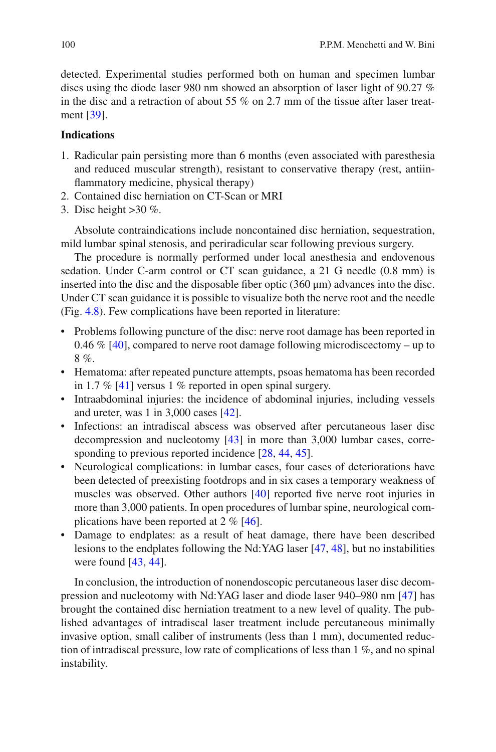detected. Experimental studies performed both on human and specimen lumbar discs using the diode laser 980 nm showed an absorption of laser light of 90.27 % in the disc and a retraction of about 55 % on 2.7 mm of the tissue after laser treatment [39].

### **Indications**

- 1. Radicular pain persisting more than 6 months (even associated with paresthesia and reduced muscular strength), resistant to conservative therapy (rest, antiinflammatory medicine, physical therapy)
- 2. Contained disc herniation on CT-Scan or MRI
- 3. Disc height >30 %.

 Absolute contraindications include noncontained disc herniation, sequestration, mild lumbar spinal stenosis, and periradicular scar following previous surgery.

 The procedure is normally performed under local anesthesia and endovenous sedation. Under C-arm control or CT scan guidance, a 21 G needle (0.8 mm) is inserted into the disc and the disposable fiber optic  $(360 \,\mu\text{m})$  advances into the disc. Under CT scan guidance it is possible to visualize both the nerve root and the needle (Fig. [4.8](#page-18-0) ). Few complications have been reported in literature:

- Problems following puncture of the disc: nerve root damage has been reported in 0.46 % [40], compared to nerve root damage following microdiscectomy – up to 8 %.
- Hematoma: after repeated puncture attempts, psoas hematoma has been recorded in 1.7 %  $[41]$  versus 1 % reported in open spinal surgery.
- Intraabdominal injuries: the incidence of abdominal injuries, including vessels and ureter, was  $1$  in  $3,000$  cases  $[42]$ .
- Infections: an intradiscal abscess was observed after percutaneous laser disc decompression and nucleotomy  $[43]$  in more than 3,000 lumbar cases, corresponding to previous reported incidence [28, 44, 45].
- Neurological complications: in lumbar cases, four cases of deteriorations have been detected of preexisting footdrops and in six cases a temporary weakness of muscles was observed. Other authors  $[40]$  reported five nerve root injuries in more than 3,000 patients. In open procedures of lumbar spine, neurological complications have been reported at  $2 \% [46]$ .
- Damage to endplates: as a result of heat damage, there have been described lesions to the endplates following the Nd:YAG laser [47, 48], but no instabilities were found  $[43, 44]$ .

 In conclusion, the introduction of nonendoscopic percutaneous laser disc decompression and nucleotomy with Nd:YAG laser and diode laser 940–980 nm [\[ 47](#page-22-0) ] has brought the contained disc herniation treatment to a new level of quality. The published advantages of intradiscal laser treatment include percutaneous minimally invasive option, small caliber of instruments (less than 1 mm), documented reduction of intradiscal pressure, low rate of complications of less than 1 %, and no spinal instability.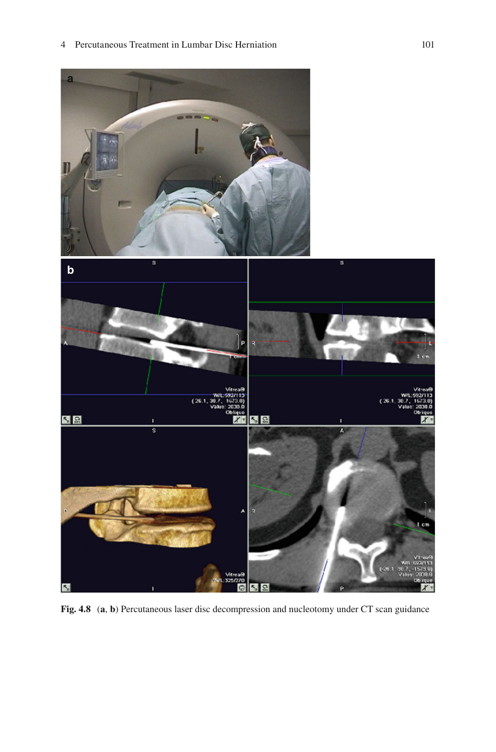<span id="page-18-0"></span>

 **Fig. 4.8** ( **a** , **b** ) Percutaneous laser disc decompression and nucleotomy under CT scan guidance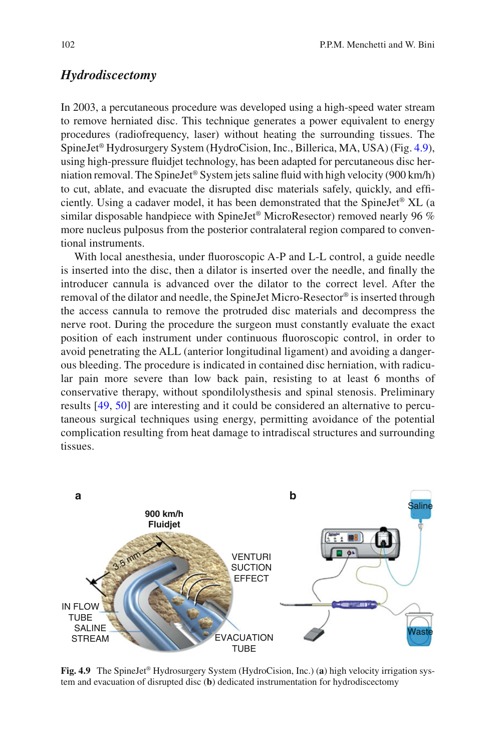### *Hydrodiscectomy*

 In 2003, a percutaneous procedure was developed using a high-speed water stream to remove herniated disc. This technique generates a power equivalent to energy procedures (radiofrequency, laser) without heating the surrounding tissues. The SpineJet® Hydrosurgery System (HydroCision, Inc., Billerica, MA, USA) (Fig. 4.9 ), using high-pressure fluidjet technology, has been adapted for percutaneous disc herniation removal. The SpineJet® System jets saline fluid with high velocity (900 km/h) to cut, ablate, and evacuate the disrupted disc materials safely, quickly, and efficiently. Using a cadaver model, it has been demonstrated that the SpineJet® XL (a similar disposable handpiece with SpineJet® MicroResector) removed nearly 96 % more nucleus pulposus from the posterior contralateral region compared to conventional instruments.

With local anesthesia, under fluoroscopic A-P and L-L control, a guide needle is inserted into the disc, then a dilator is inserted over the needle, and finally the introducer cannula is advanced over the dilator to the correct level. After the removal of the dilator and needle, the SpineJet Micro-Resector® is inserted through the access cannula to remove the protruded disc materials and decompress the nerve root. During the procedure the surgeon must constantly evaluate the exact position of each instrument under continuous fluoroscopic control, in order to avoid penetrating the ALL (anterior longitudinal ligament) and avoiding a dangerous bleeding. The procedure is indicated in contained disc herniation, with radicular pain more severe than low back pain, resisting to at least 6 months of conservative therapy, without spondilolysthesis and spinal stenosis. Preliminary results [49, 50] are interesting and it could be considered an alternative to percutaneous surgical techniques using energy, permitting avoidance of the potential complication resulting from heat damage to intradiscal structures and surrounding tissues.



 **Fig. 4.9** The SpineJet® Hydrosurgery System (HydroCision, Inc.) ( **a** ) high velocity irrigation system and evacuation of disrupted disc ( **b** ) dedicated instrumentation for hydrodiscectomy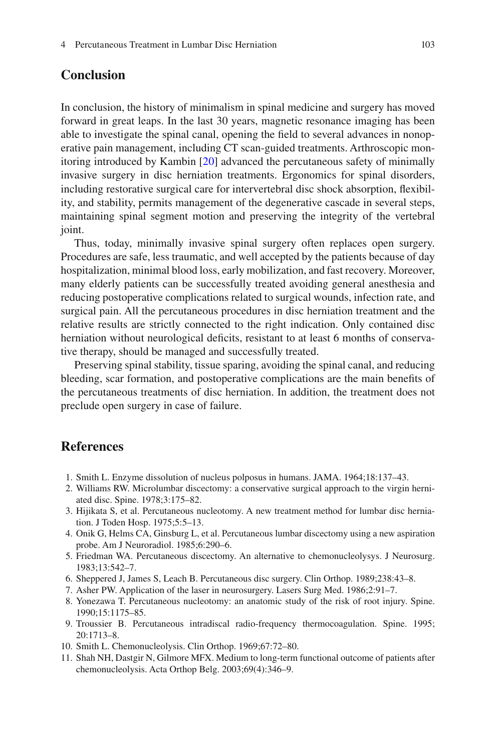# <span id="page-20-0"></span> **Conclusion**

 In conclusion, the history of minimalism in spinal medicine and surgery has moved forward in great leaps. In the last 30 years, magnetic resonance imaging has been able to investigate the spinal canal, opening the field to several advances in nonoperative pain management, including CT scan-guided treatments. Arthroscopic monitoring introduced by Kambin [20] advanced the percutaneous safety of minimally invasive surgery in disc herniation treatments. Ergonomics for spinal disorders, including restorative surgical care for intervertebral disc shock absorption, flexibility, and stability, permits management of the degenerative cascade in several steps, maintaining spinal segment motion and preserving the integrity of the vertebral joint.

 Thus, today, minimally invasive spinal surgery often replaces open surgery. Procedures are safe, less traumatic, and well accepted by the patients because of day hospitalization, minimal blood loss, early mobilization, and fast recovery. Moreover, many elderly patients can be successfully treated avoiding general anesthesia and reducing postoperative complications related to surgical wounds, infection rate, and surgical pain. All the percutaneous procedures in disc herniation treatment and the relative results are strictly connected to the right indication. Only contained disc herniation without neurological deficits, resistant to at least 6 months of conservative therapy, should be managed and successfully treated.

 Preserving spinal stability, tissue sparing, avoiding the spinal canal, and reducing bleeding, scar formation, and postoperative complications are the main benefits of the percutaneous treatments of disc herniation. In addition, the treatment does not preclude open surgery in case of failure.

### **References**

- 1. Smith L. Enzyme dissolution of nucleus polposus in humans. JAMA. 1964;18:137–43.
- 2. Williams RW. Microlumbar discectomy: a conservative surgical approach to the virgin herniated disc. Spine. 1978;3:175–82.
- 3. Hijikata S, et al. Percutaneous nucleotomy. A new treatment method for lumbar disc herniation. J Toden Hosp. 1975;5:5–13.
- 4. Onik G, Helms CA, Ginsburg L, et al. Percutaneous lumbar discectomy using a new aspiration probe. Am J Neuroradiol. 1985;6:290–6.
- 5. Friedman WA. Percutaneous discectomy. An alternative to chemonucleolysys. J Neurosurg. 1983;13:542–7.
- 6. Sheppered J, James S, Leach B. Percutaneous disc surgery. Clin Orthop. 1989;238:43–8.
- 7. Asher PW. Application of the laser in neurosurgery. Lasers Surg Med. 1986;2:91–7.
- 8. Yonezawa T. Percutaneous nucleotomy: an anatomic study of the risk of root injury. Spine. 1990;15:1175–85.
- 9. Troussier B. Percutaneous intradiscal radio-frequency thermocoagulation. Spine. 1995; 20:1713–8.
- 10. Smith L. Chemonucleolysis. Clin Orthop. 1969;67:72–80.
- 11. Shah NH, Dastgir N, Gilmore MFX. Medium to long-term functional outcome of patients after chemonucleolysis. Acta Orthop Belg. 2003;69(4):346–9.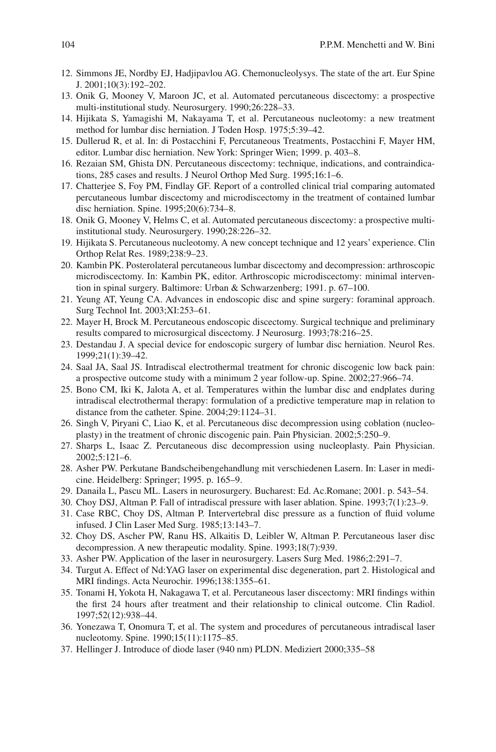- <span id="page-21-0"></span> 12. Simmons JE, Nordby EJ, Hadjipavlou AG. Chemonucleolysys. The state of the art. Eur Spine J. 2001;10(3):192–202.
- 13. Onik G, Mooney V, Maroon JC, et al. Automated percutaneous discectomy: a prospective multi-institutional study. Neurosurgery. 1990;26:228–33.
- 14. Hijikata S, Yamagishi M, Nakayama T, et al. Percutaneous nucleotomy: a new treatment method for lumbar disc herniation. J Toden Hosp. 1975;5:39–42.
- 15. Dullerud R, et al. In: di Postacchini F, Percutaneous Treatments, Postacchini F, Mayer HM, editor. Lumbar disc herniation. New York: Springer Wien; 1999. p. 403–8.
- 16. Rezaian SM, Ghista DN. Percutaneous discectomy: technique, indications, and contraindications, 285 cases and results. J Neurol Orthop Med Surg. 1995;16:1–6.
- 17. Chatterjee S, Foy PM, Findlay GF. Report of a controlled clinical trial comparing automated percutaneous lumbar discectomy and microdiscectomy in the treatment of contained lumbar disc herniation. Spine. 1995;20(6):734–8.
- 18. Onik G, Mooney V, Helms C, et al. Automated percutaneous discectomy: a prospective multiinstitutional study. Neurosurgery. 1990;28:226–32.
- 19. Hijikata S. Percutaneous nucleotomy. A new concept technique and 12 years' experience. Clin Orthop Relat Res. 1989;238:9–23.
- 20. Kambin PK. Posterolateral percutaneous lumbar discectomy and decompression: arthroscopic microdiscectomy. In: Kambin PK, editor. Arthroscopic microdiscectomy: minimal intervention in spinal surgery. Baltimore: Urban & Schwarzenberg; 1991. p. 67–100.
- 21. Yeung AT, Yeung CA. Advances in endoscopic disc and spine surgery: foraminal approach. Surg Technol Int. 2003;XI:253–61.
- 22. Mayer H, Brock M. Percutaneous endoscopic discectomy. Surgical technique and preliminary results compared to microsurgical discectomy. J Neurosurg. 1993;78:216–25.
- 23. Destandau J. A special device for endoscopic surgery of lumbar disc herniation. Neurol Res. 1999;21(1):39–42.
- 24. Saal JA, Saal JS. Intradiscal electrothermal treatment for chronic discogenic low back pain: a prospective outcome study with a minimum 2 year follow-up. Spine. 2002;27:966–74.
- 25. Bono CM, Iki K, Jalota A, et al. Temperatures within the lumbar disc and endplates during intradiscal electrothermal therapy: formulation of a predictive temperature map in relation to distance from the catheter. Spine. 2004;29:1124–31.
- 26. Singh V, Piryani C, Liao K, et al. Percutaneous disc decompression using coblation (nucleoplasty) in the treatment of chronic discogenic pain. Pain Physician. 2002;5:250–9.
- 27. Sharps L, Isaac Z. Percutaneous disc decompression using nucleoplasty. Pain Physician. 2002;5:121–6.
- 28. Asher PW. Perkutane Bandscheibengehandlung mit verschiedenen Lasern. In: Laser in medicine. Heidelberg: Springer; 1995. p. 165–9.
- 29. Danaila L, Pascu ML. Lasers in neurosurgery. Bucharest: Ed. Ac.Romane; 2001. p. 543–54.
- 30. Choy DSJ, Altman P. Fall of intradiscal pressure with laser ablation. Spine. 1993;7(1):23–9.
- 31. Case RBC, Choy DS, Altman P. Intervertebral disc pressure as a function of fluid volume infused. J Clin Laser Med Surg. 1985;13:143–7.
- 32. Choy DS, Ascher PW, Ranu HS, Alkaitis D, Leibler W, Altman P. Percutaneous laser disc decompression. A new therapeutic modality. Spine. 1993;18(7):939.
- 33. Asher PW. Application of the laser in neurosurgery. Lasers Surg Med. 1986;2:291–7.
- 34. Turgut A. Effect of Nd:YAG laser on experimental disc degeneration, part 2. Histological and MRI findings. Acta Neurochir. 1996;138:1355–61.
- 35. Tonami H, Yokota H, Nakagawa T, et al. Percutaneous laser discectomy: MRI findings within the first 24 hours after treatment and their relationship to clinical outcome. Clin Radiol. 1997;52(12):938–44.
- 36. Yonezawa T, Onomura T, et al. The system and procedures of percutaneous intradiscal laser nucleotomy. Spine. 1990;15(11):1175–85.
- 37. Hellinger J. Introduce of diode laser (940 nm) PLDN. Mediziert 2000;335–58